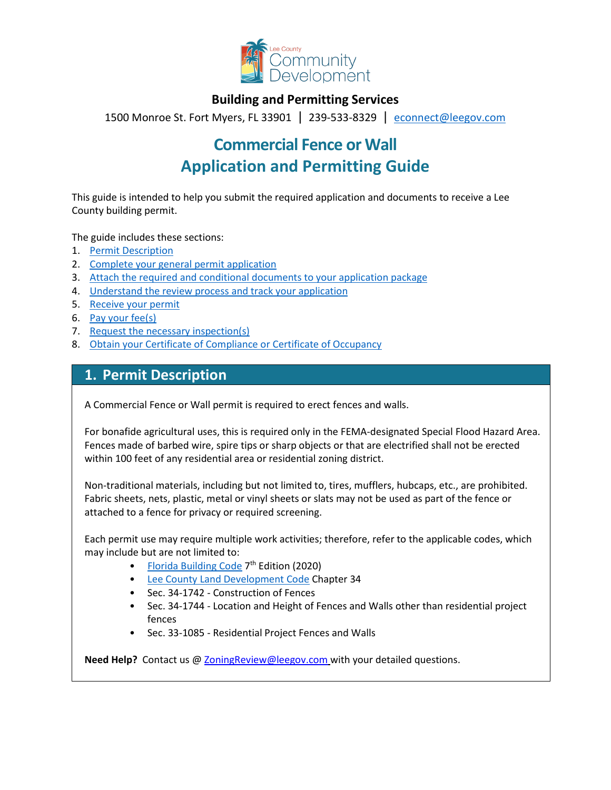

# **Building and Permitting Services**

1500 Monroe St. Fort Myers, FL 33901 | 239-533-8329 |[econnect@leegov.com](mailto:econnect@leegov.com)

# **Commercial Fence or Wall Application and Permitting Guide**

This guide is intended to help you submit the required application and documents to receive a Lee County building permit.

The guide includes these sections:

- 1. [Permit Description](#page-0-0)
- 2. [Complete your general permit application](#page-1-0)
- 3. [Attach the required and conditional documents to your application package](#page-3-0)
- 4. [Understand the review process and track your application](#page-5-0)
- 5. [Receive your permit](#page-6-0)
- 6. [Pay your fee\(s\)](#page-6-1)
- 7. [Request the necessary inspection\(s\)](#page-6-2)
- 8. [Obtain your Certificate of Compliance or Certificate of Occupancy](#page-7-0)

# <span id="page-0-0"></span>**1. Permit Description**

A Commercial Fence or Wall permit is required to erect fences and walls.

For bonafide agricultural uses, this is required only in the FEMA-designated Special Flood Hazard Area. Fences made of barbed wire, spire tips or sharp objects or that are electrified shall not be erected within 100 feet of any residential area or residential zoning district.

Non-traditional materials, including but not limited to, tires, mufflers, hubcaps, etc., are prohibited. Fabric sheets, nets, plastic, metal or vinyl sheets or slats may not be used as part of the fence or attached to a fence for privacy or required screening.

Each permit use may require multiple work activities; therefore, refer to the applicable codes, which may include but are not limited to:

- [Florida Building Code](https://codes.iccsafe.org/codes/florida)  $7<sup>th</sup>$  Edition (2020)
- [Lee County Land Development Code](https://library.municode.com/fl/lee_county/codes/land_development_code?nodeId=LADECOLECOFL) Chapter 34
- Sec. 34-1742 Construction of Fences
- Sec. 34-1744 Location and Height of Fences and Walls other than residential project fences
- Sec. 33-1085 Residential Project Fences and Walls

**Need Help?** Contact us @ [ZoningReview@leegov.com](mailto:ZoningReview@leegov.com) with your detailed questions.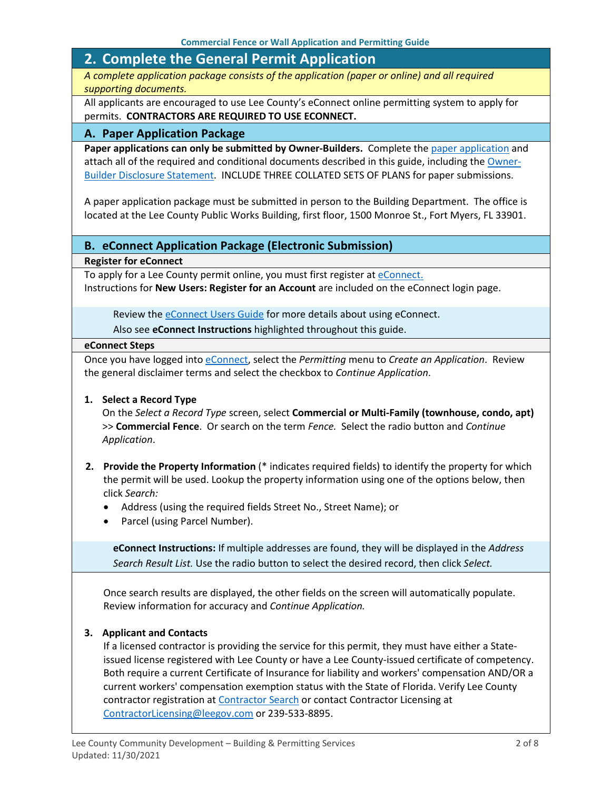# <span id="page-1-0"></span>**2. Complete the General Permit Application**

*A complete application package consists of the application (paper or online) and all required supporting documents.*

All applicants are encouraged to use Lee County's eConnect online permitting system to apply for permits. **CONTRACTORS ARE REQUIRED TO USE ECONNECT.**

#### **A. Paper Application Package**

Paper applications can only be submitted by Owner-Builders. Complete the [paper application](https://www.leegov.com/dcd/PermittingDocs/AwningCanopyCommFenceApp.pdf) and attach all of the required and conditional documents described in this guide, including the [Owner-](https://www.leegov.com/dcd/PermittingDocs/OwnerBldrDisclosure.pdf)[Builder Disclosure Statement.](https://www.leegov.com/dcd/PermittingDocs/OwnerBldrDisclosure.pdf) INCLUDE THREE COLLATED SETS OF PLANS for paper submissions.

A paper application package must be submitted in person to the Building Department. The office is located at the Lee County Public Works Building, first floor, 1500 Monroe St., Fort Myers, FL 33901.

#### **B. eConnect Application Package (Electronic Submission)**

**Register for eConnect**

To apply for a Lee County permit online, you must first register at *eConnect*. Instructions for **New Users: Register for an Account** are included on the eConnect login page.

Review the **eConnect Users Guide** for more details about using eConnect.

Also see **eConnect Instructions** highlighted throughout this guide.

#### **eConnect Steps**

Once you have logged into [eConnect,](https://accelaaca.leegov.com/aca/) select the *Permitting* menu to *Create an Application*. Review the general disclaimer terms and select the checkbox to *Continue Application*.

#### **1. Select a Record Type**

On the *Select a Record Type* screen, select **Commercial or Multi-Family (townhouse, condo, apt)** >> **Commercial Fence**. Or search on the term *Fence.* Select the radio button and *Continue Application*.

- **2. Provide the Property Information** (\* indicates required fields) to identify the property for which the permit will be used. Lookup the property information using one of the options below, then click *Search:*
	- Address (using the required fields Street No., Street Name); or
	- Parcel (using Parcel Number).

**eConnect Instructions:** If multiple addresses are found, they will be displayed in the *Address Search Result List.* Use the radio button to select the desired record, then click *Select.*

Once search results are displayed, the other fields on the screen will automatically populate. Review information for accuracy and *Continue Application.*

#### **3. Applicant and Contacts**

If a licensed contractor is providing the service for this permit, they must have either a Stateissued license registered with Lee County or have a Lee County-issued certificate of competency. Both require a current Certificate of Insurance for liability and workers' compensation AND/OR a current workers' compensation exemption status with the State of Florida. Verify Lee County contractor registration at [Contractor Search](https://www.leegov.com/dcd/ContLic/ActCont) or contact Contractor Licensing at [ContractorLicensing@leegov.com](mailto:ContractorLicensing@leegov.com) or 239-533-8895.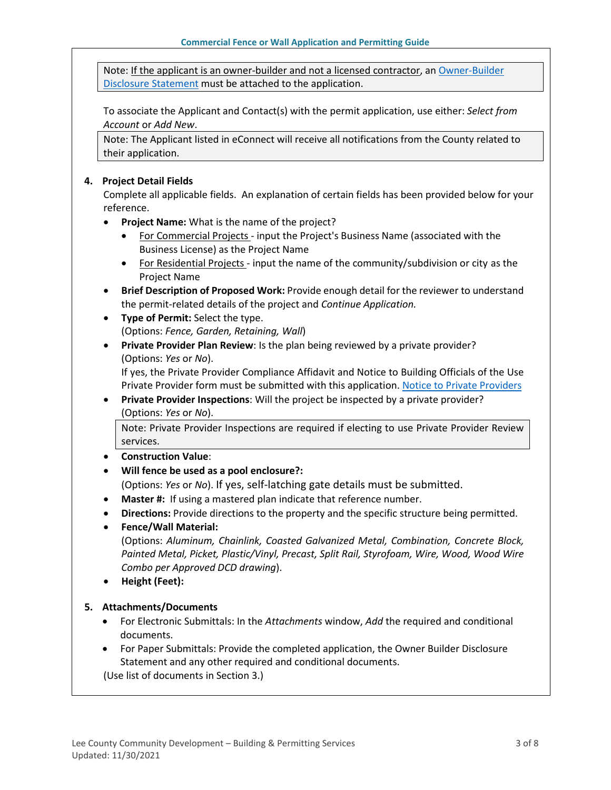Note: If the applicant is an owner-builder and not a licensed contractor, a[n Owner-Builder](https://www.leegov.com/dcd/PermittingDocs/OwnerBldrDisclosure.pdf)  [Disclosure Statement](https://www.leegov.com/dcd/PermittingDocs/OwnerBldrDisclosure.pdf) must be attached to the application.

To associate the Applicant and Contact(s) with the permit application, use either: *Select from Account* or *Add New*.

Note: The Applicant listed in eConnect will receive all notifications from the County related to their application.

#### **4. Project Detail Fields**

Complete all applicable fields. An explanation of certain fields has been provided below for your reference.

- **Project Name:** What is the name of the project?
	- For Commercial Projects input the Project's Business Name (associated with the Business License) as the Project Name
	- For Residential Projects input the name of the community/subdivision or city as the Project Name
- **Brief Description of Proposed Work:** Provide enough detail for the reviewer to understand the permit-related details of the project and *Continue Application.*
- **Type of Permit:** Select the type. (Options: *Fence, Garden, Retaining, Wall*)
- **Private Provider Plan Review**: Is the plan being reviewed by a private provider? (Options: *Yes* or *No*).

If yes, the Private Provider Compliance Affidavit and Notice to Building Officials of the Use Private Provider form must be submitted with this application. [Notice to Private Providers](https://www.floridabuilding.org/fbc/committees/Private_Providers/Private_Providers.htm)

• **Private Provider Inspections**: Will the project be inspected by a private provider? (Options: *Yes* or *No*).

Note: Private Provider Inspections are required if electing to use Private Provider Review services.

- **Construction Value**:
- **Will fence be used as a pool enclosure?:**

(Options: *Yes* or *No*). If yes, self-latching gate details must be submitted.

- **Master #:**If using a mastered plan indicate that reference number.
- **Directions:** Provide directions to the property and the specific structure being permitted.
- **Fence/Wall Material:**

(Options: *Aluminum, Chainlink, Coasted Galvanized Metal, Combination, Concrete Block, Painted Metal, Picket, Plastic/Vinyl, Precast, Split Rail, Styrofoam, Wire, Wood, Wood Wire Combo per Approved DCD drawing*).

• **Height (Feet):**

#### **5. Attachments/Documents**

- For Electronic Submittals: In the *Attachments* window, *Add* the required and conditional documents.
- For Paper Submittals: Provide the completed application, the Owner Builder Disclosure Statement and any other required and conditional documents.

(Use list of documents in Section 3.)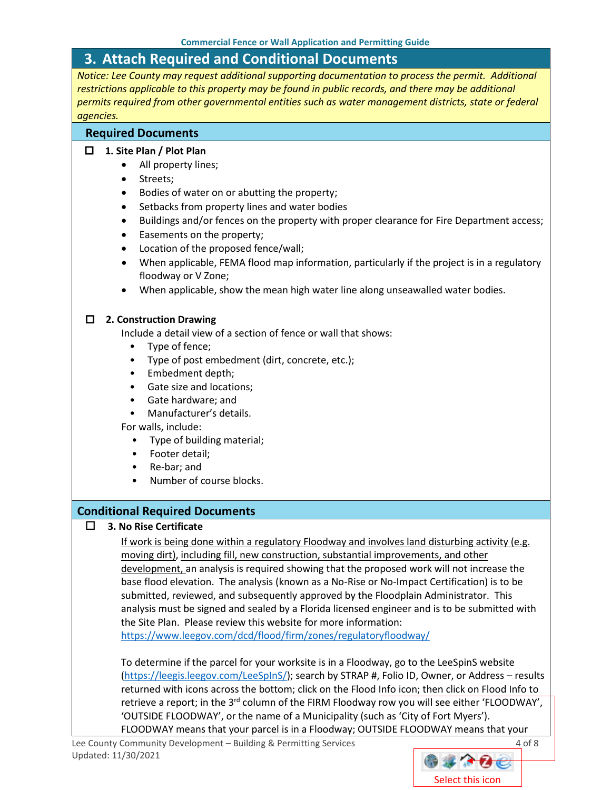# <span id="page-3-0"></span>**3. Attach Required and Conditional Documents**

*Notice: Lee County may request additional supporting documentation to process the permit. Additional restrictions applicable to this property may be found in public records, and there may be additional permits required from other governmental entities such as water management districts, state or federal agencies.*

#### **Required Documents**

#### **1. Site Plan / Plot Plan**

- All property lines;
- Streets;
- Bodies of water on or abutting the property;
- Setbacks from property lines and water bodies
- Buildings and/or fences on the property with proper clearance for Fire Department access;
- Easements on the property;
- Location of the proposed fence/wall;
- When applicable, FEMA flood map information, particularly if the project is in a regulatory floodway or V Zone;
- When applicable, show the mean high water line along unseawalled water bodies.

#### **2. Construction Drawing**

Include a detail view of a section of fence or wall that shows:

- Type of fence;
- Type of post embedment (dirt, concrete, etc.);
- Embedment depth;
- Gate size and locations;
- Gate hardware; and
- Manufacturer's details.

For walls, include:

- Type of building material;
- Footer detail;
- Re-bar; and
- Number of course blocks.

### **Conditional Required Documents**

### **3. No Rise Certificate**

If work is being done within a regulatory Floodway and involves land disturbing activity (e.g. moving dirt), including fill, new construction, substantial improvements, and other development, an analysis is required showing that the proposed work will not increase the base flood elevation. The analysis (known as a No-Rise or No-Impact Certification) is to be submitted, reviewed, and subsequently approved by the Floodplain Administrator. This analysis must be signed and sealed by a Florida licensed engineer and is to be submitted with the Site Plan. Please review this website for more information: <https://www.leegov.com/dcd/flood/firm/zones/regulatoryfloodway/>

To determine if the parcel for your worksite is in a Floodway, go to the LeeSpinS website [\(https://leegis.leegov.com/LeeSpInS/\)](https://leegis.leegov.com/LeeSpInS/); search by STRAP #, Folio ID, Owner, or Address – results returned with icons across the bottom; click on the Flood Info icon; then click on Flood Info to retrieve a report; in the 3<sup>rd</sup> column of the FIRM Floodway row you will see either 'FLOODWAY', 'OUTSIDE FLOODWAY', or the name of a Municipality (such as 'City of Fort Myers'). FLOODWAY means that your parcel is in a Floodway; OUTSIDE FLOODWAY means that your

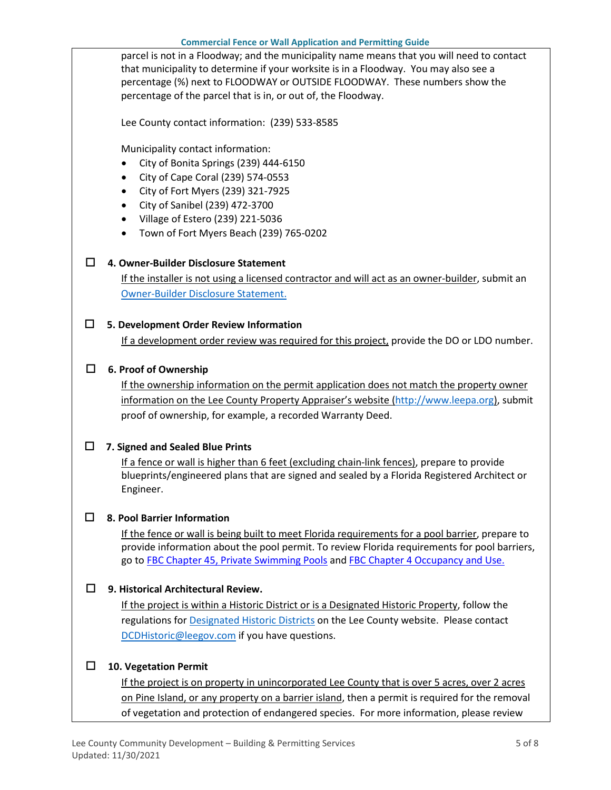parcel is not in a Floodway; and the municipality name means that you will need to contact that municipality to determine if your worksite is in a Floodway. You may also see a percentage (%) next to FLOODWAY or OUTSIDE FLOODWAY. These numbers show the percentage of the parcel that is in, or out of, the Floodway.

Lee County contact information: (239) 533-8585

Municipality contact information:

- City of Bonita Springs (239) 444-6150
- City of Cape Coral (239) 574-0553
- City of Fort Myers (239) 321-7925
- City of Sanibel (239) 472-3700
- Village of Estero (239) 221-5036
- Town of Fort Myers Beach (239) 765-0202

### **4. Owner-Builder Disclosure Statement**

If the installer is not using a licensed contractor and will act as an owner-builder, submit an [Owner-Builder Disclosure Statement.](https://www.leegov.com/dcd/PermittingDocs/OwnerBldrDisclosure.pdf)

### **5. Development Order Review Information**

If a development order review was required for this project, provide the DO or LDO number.

### **6. Proof of Ownership**

If the ownership information on the permit application does not match the property owner information on the Lee County Property Appraiser's website [\(http://www.leepa.org\)](http://www.leepa.org/), submit proof of ownership, for example, a recorded Warranty Deed.

### **7. Signed and Sealed Blue Prints**

If a fence or wall is higher than 6 feet (excluding chain-link fences), prepare to provide blueprints/engineered plans that are signed and sealed by a Florida Registered Architect or Engineer.

### **8. Pool Barrier Information**

If the fence or wall is being built to meet Florida requirements for a pool barrier, prepare to provide information about the pool permit. To review Florida requirements for pool barriers, go to [FBC Chapter 45, Private Swimming Pools](https://codes.iccsafe.org/content/FLRC2020P1/chapter-45-private-swimming-pools) and [FBC Chapter 4 Occupancy and Use.](https://codes.iccsafe.org/content/FLBC2020P1/chapter-4-special-detailed-requirements-based-on-occupancy-and-use)

### **9. Historical Architectural Review.**

If the project is within a Historic District or is a Designated Historic Property, follow the regulations for [Designated Historic Districts](https://www.leegov.com/dcd/planning/hp/histdistricts) on the Lee County website. Please contact [DCDHistoric@leegov.com](mailto:DCDHistoric@leegov.com) if you have questions.

### **10. Vegetation Permit**

If the project is on property in unincorporated Lee County that is over 5 acres, over 2 acres on Pine Island, or any property on a barrier island, then a permit is required for the removal of vegetation and protection of endangered species. For more information, please review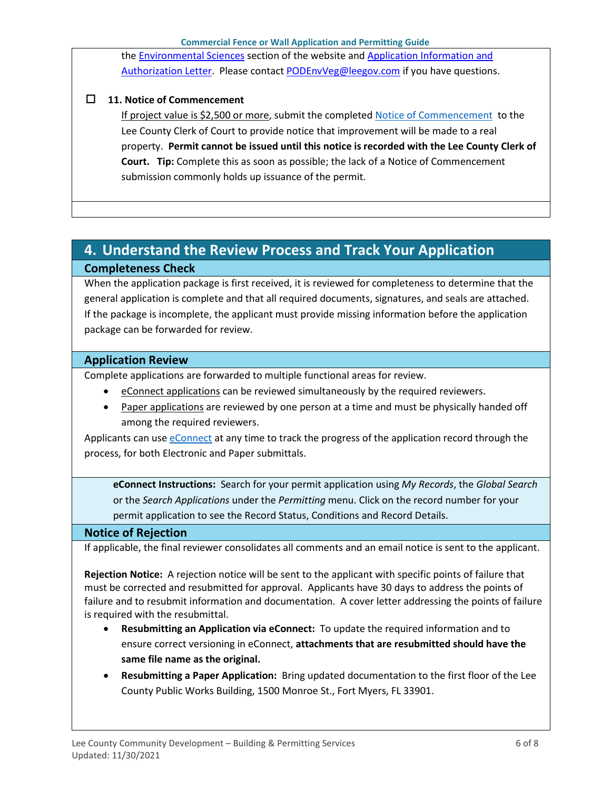the [Environmental Sciences](https://www.leegov.com/dcd/es) section of the website and [Application Information and](https://www.leegov.com/dcd/es/apps)  [Authorization Letter.](https://www.leegov.com/dcd/es/apps) Please contact [PODEnvVeg@leegov.com](mailto:PODEnvVeg@leegov.com) if you have questions.

### **11. Notice of Commencement**

If project value is \$2,500 or more, submit the completed [Notice of Commencement](https://www.leegov.com/dcd/PermittingDocs/NoticeofCommencement.pdf) to the Lee County Clerk of Court to provide notice that improvement will be made to a real property. **Permit cannot be issued until this notice is recorded with the Lee County Clerk of Court. Tip:** Complete this as soon as possible; the lack of a Notice of Commencement submission commonly holds up issuance of the permit.

# <span id="page-5-0"></span>**4. Understand the Review Process and Track Your Application Completeness Check**

When the application package is first received, it is reviewed for completeness to determine that the general application is complete and that all required documents, signatures, and seals are attached. If the package is incomplete, the applicant must provide missing information before the application package can be forwarded for review.

### **Application Review**

Complete applications are forwarded to multiple functional areas for review.

- eConnect applications can be reviewed simultaneously by the required reviewers.
- Paper applications are reviewed by one person at a time and must be physically handed off among the required reviewers.

Applicants can use [eConnect](https://accelaaca.leegov.com/aca/) at any time to track the progress of the application record through the process, for both Electronic and Paper submittals.

**eConnect Instructions:** Search for your permit application using *My Records*, the *Global Search* or the *Search Applications* under the *Permitting* menu. Click on the record number for your permit application to see the Record Status, Conditions and Record Details.

### **Notice of Rejection**

If applicable, the final reviewer consolidates all comments and an email notice is sent to the applicant.

**Rejection Notice:** A rejection notice will be sent to the applicant with specific points of failure that must be corrected and resubmitted for approval. Applicants have 30 days to address the points of failure and to resubmit information and documentation. A cover letter addressing the points of failure is required with the resubmittal.

- **Resubmitting an Application via eConnect:** To update the required information and to ensure correct versioning in eConnect, **attachments that are resubmitted should have the same file name as the original.**
- **Resubmitting a Paper Application:** Bring updated documentation to the first floor of the Lee County Public Works Building, 1500 Monroe St., Fort Myers, FL 33901.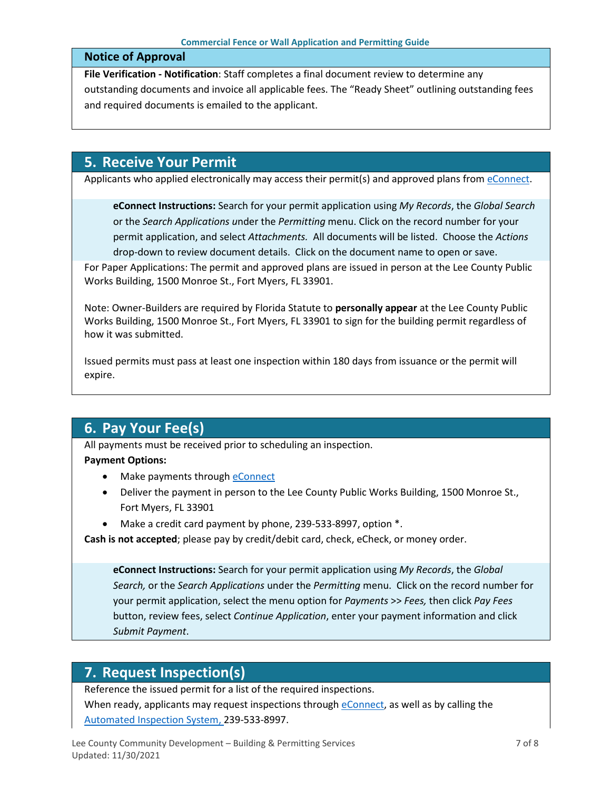#### **Notice of Approval**

**File Verification - Notification**: Staff completes a final document review to determine any outstanding documents and invoice all applicable fees. The "Ready Sheet" outlining outstanding fees and required documents is emailed to the applicant.

## <span id="page-6-0"></span>**5. Receive Your Permit**

Applicants who applied electronically may access their permit(s) and approved plans from [eConnect.](https://accelaaca.leegov.com/aca/)

**eConnect Instructions:** Search for your permit application using *My Records*, the *Global Search* or the *Search Applications u*nder the *Permitting* menu. Click on the record number for your permit application, and select *Attachments.* All documents will be listed. Choose the *Actions*  drop-down to review document details. Click on the document name to open or save.

For Paper Applications: The permit and approved plans are issued in person at the Lee County Public Works Building, 1500 Monroe St., Fort Myers, FL 33901.

Note: Owner-Builders are required by Florida Statute to **personally appear** at the Lee County Public Works Building, 1500 Monroe St., Fort Myers, FL 33901 to sign for the building permit regardless of how it was submitted.

Issued permits must pass at least one inspection within 180 days from issuance or the permit will expire.

# <span id="page-6-1"></span>**6. Pay Your Fee(s)**

All payments must be received prior to scheduling an inspection.

#### **Payment Options:**

- Make payments through [eConnect](https://accelaaca.leegov.com/aca/)
- Deliver the payment in person to the Lee County Public Works Building, 1500 Monroe St., Fort Myers, FL 33901
- Make a credit card payment by phone, 239-533-8997, option \*.

**Cash is not accepted**; please pay by credit/debit card, check, eCheck, or money order.

**eConnect Instructions:** Search for your permit application using *My Records*, the *Global Search,* or the *Search Applications* under the *Permitting* menu. Click on the record number for your permit application, select the menu option for *Payments* >> *Fees,* then click *Pay Fees* button, review fees, select *Continue Application*, enter your payment information and click *Submit Payment*.

# <span id="page-6-2"></span>**7. Request Inspection(s)**

Reference the issued permit for a list of the required inspections.

When ready, applicants may request inspections through [eConnect,](https://accelaaca.leegov.com/aca/) as well as by calling the [Automated Inspection System,](https://www.leegov.com/dcd/BldPermitServ/Insp/AutoInsp) 239-533-8997.